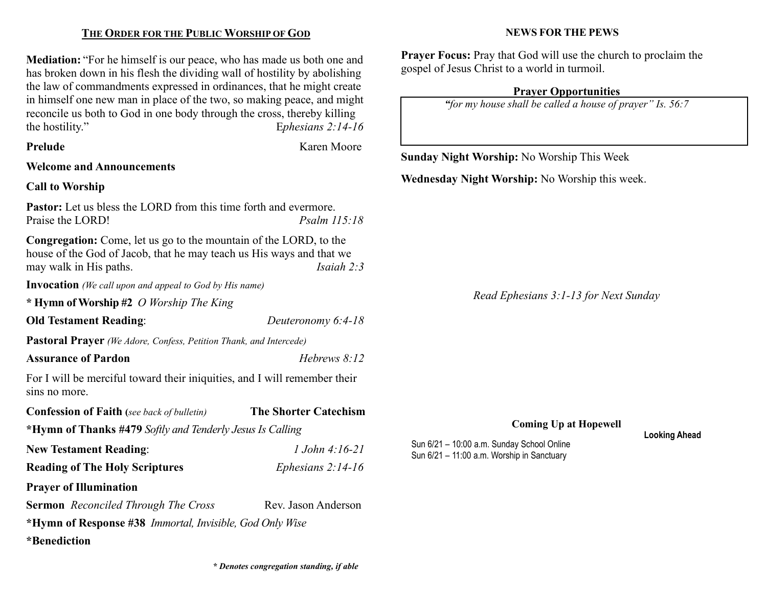## THE ORDER FOR THE PUBLIC WORSHIP OF GOD

Mediation: "For he himself is our peace, who has made us both one and has broken down in his flesh the dividing wall of hostility by abolishing the law of commandments expressed in ordinances, that he might create in himself one new man in place of the two, so making peace, and might reconcile us both to God in one body through the cross, thereby killing the hostility." Ephesians 2:14-16

| Prelude |
|---------|
|---------|

Karen Moore

## Welcome and Announcements

### Call to Worship

Pastor: Let us bless the LORD from this time forth and evermore. Praise the LORD! Psalm 115:18

Congregation: Come, let us go to the mountain of the LORD, to the house of the God of Jacob, that he may teach us His ways and that we may walk in His paths. Isaiah 2:3

Invocation (We call upon and appeal to God by His name)

\* Hymn of Worship #2 O Worship The King

Old Testament Reading: Deuteronomy 6:4-18

Pastoral Prayer (We Adore, Confess, Petition Thank, and Intercede)

#### Assurance of Pardon **Hebrews** 8:12

For I will be merciful toward their iniquities, and I will remember their sins no more.

| <b>Confession of Faith</b> (see back of bulletin)               | <b>The Shorter Catechism</b> |  |  |  |  |
|-----------------------------------------------------------------|------------------------------|--|--|--|--|
| *Hymn of Thanks #479 Softly and Tenderly Jesus Is Calling       |                              |  |  |  |  |
| <b>New Testament Reading:</b>                                   | 1.John $4:16-21$             |  |  |  |  |
| <b>Reading of The Holy Scriptures</b>                           | Ephesians $2:14-16$          |  |  |  |  |
| <b>Prayer of Illumination</b>                                   |                              |  |  |  |  |
| <b>Sermon</b> Reconciled Through The Cross                      | Rev. Jason Anderson          |  |  |  |  |
| *Hymn of Response #38 <i>Immortal, Invisible, God Only Wise</i> |                              |  |  |  |  |
| *Benediction                                                    |                              |  |  |  |  |

#### NEWS FOR THE PEWS

Prayer Focus: Pray that God will use the church to proclaim the gospel of Jesus Christ to a world in turmoil.

#### Prayer Opportunities

"for my house shall be called a house of prayer" Is. 56:7

Sunday Night Worship: No Worship This Week

Wednesday Night Worship: No Worship this week.

Read Ephesians 3:1-13 for Next Sunday

Coming Up at Hopewell

Sun 6/21 – 10:00 a.m. Sunday School Online Sun 6/21 – 11:00 a.m. Worship in Sanctuary

Looking Ahead